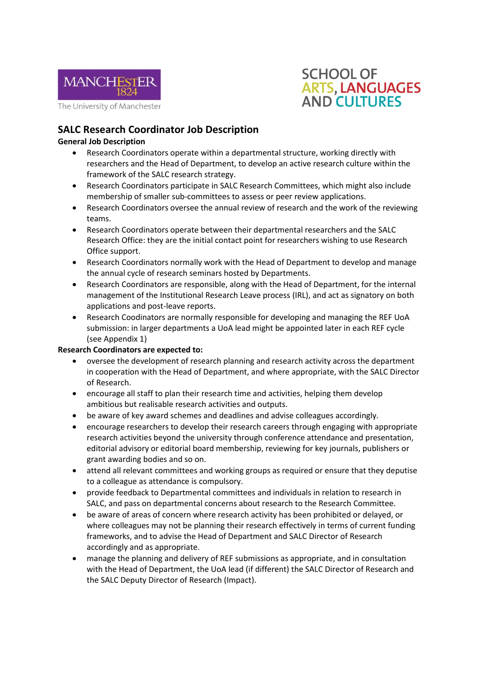



## **SALC Research Coordinator Job Description**

### **General Job Description**

- Research Coordinators operate within a departmental structure, working directly with researchers and the Head of Department, to develop an active research culture within the framework of the SALC research strategy.
- Research Coordinators participate in SALC Research Committees, which might also include membership of smaller sub-committees to assess or peer review applications.
- Research Coordinators oversee the annual review of research and the work of the reviewing teams.
- Research Coordinators operate between their departmental researchers and the SALC Research Office: they are the initial contact point for researchers wishing to use Research Office support.
- Research Coordinators normally work with the Head of Department to develop and manage the annual cycle of research seminars hosted by Departments.
- Research Coordinators are responsible, along with the Head of Department, for the internal management of the Institutional Research Leave process (IRL), and act as signatory on both applications and post-leave reports.
- Research Coodinators are normally responsible for developing and managing the REF UoA submission: in larger departments a UoA lead might be appointed later in each REF cycle (see Appendix 1)

#### **Research Coordinators are expected to:**

- oversee the development of research planning and research activity across the department in cooperation with the Head of Department, and where appropriate, with the SALC Director of Research.
- encourage all staff to plan their research time and activities, helping them develop ambitious but realisable research activities and outputs.
- be aware of key award schemes and deadlines and advise colleagues accordingly.
- encourage researchers to develop their research careers through engaging with appropriate research activities beyond the university through conference attendance and presentation, editorial advisory or editorial board membership, reviewing for key journals, publishers or grant awarding bodies and so on.
- attend all relevant committees and working groups as required or ensure that they deputise to a colleague as attendance is compulsory.
- provide feedback to Departmental committees and individuals in relation to research in SALC, and pass on departmental concerns about research to the Research Committee.
- be aware of areas of concern where research activity has been prohibited or delayed, or where colleagues may not be planning their research effectively in terms of current funding frameworks, and to advise the Head of Department and SALC Director of Research accordingly and as appropriate.
- manage the planning and delivery of REF submissions as appropriate, and in consultation with the Head of Department, the UoA lead (if different) the SALC Director of Research and the SALC Deputy Director of Research (Impact).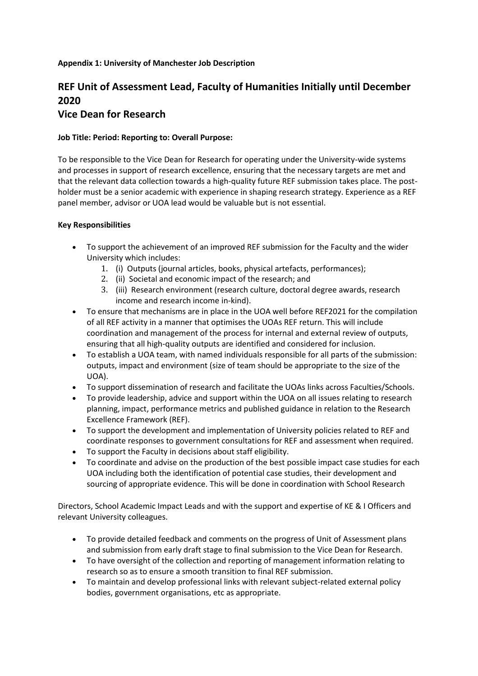#### **Appendix 1: University of Manchester Job Description**

# **REF Unit of Assessment Lead, Faculty of Humanities Initially until December 2020**

## **Vice Dean for Research**

### **Job Title: Period: Reporting to: Overall Purpose:**

To be responsible to the Vice Dean for Research for operating under the University-wide systems and processes in support of research excellence, ensuring that the necessary targets are met and that the relevant data collection towards a high-quality future REF submission takes place. The postholder must be a senior academic with experience in shaping research strategy. Experience as a REF panel member, advisor or UOA lead would be valuable but is not essential.

#### **Key Responsibilities**

- To support the achievement of an improved REF submission for the Faculty and the wider University which includes:
	- 1. (i) Outputs (journal articles, books, physical artefacts, performances);
	- 2. (ii) Societal and economic impact of the research; and
	- 3. (iii) Research environment (research culture, doctoral degree awards, research income and research income in-kind).
- To ensure that mechanisms are in place in the UOA well before REF2021 for the compilation of all REF activity in a manner that optimises the UOAs REF return. This will include coordination and management of the process for internal and external review of outputs, ensuring that all high-quality outputs are identified and considered for inclusion.
- To establish a UOA team, with named individuals responsible for all parts of the submission: outputs, impact and environment (size of team should be appropriate to the size of the UOA).
- To support dissemination of research and facilitate the UOAs links across Faculties/Schools.
- To provide leadership, advice and support within the UOA on all issues relating to research planning, impact, performance metrics and published guidance in relation to the Research Excellence Framework (REF).
- To support the development and implementation of University policies related to REF and coordinate responses to government consultations for REF and assessment when required.
- To support the Faculty in decisions about staff eligibility.
- To coordinate and advise on the production of the best possible impact case studies for each UOA including both the identification of potential case studies, their development and sourcing of appropriate evidence. This will be done in coordination with School Research

Directors, School Academic Impact Leads and with the support and expertise of KE & I Officers and relevant University colleagues.

- To provide detailed feedback and comments on the progress of Unit of Assessment plans and submission from early draft stage to final submission to the Vice Dean for Research.
- To have oversight of the collection and reporting of management information relating to research so as to ensure a smooth transition to final REF submission.
- To maintain and develop professional links with relevant subject-related external policy bodies, government organisations, etc as appropriate.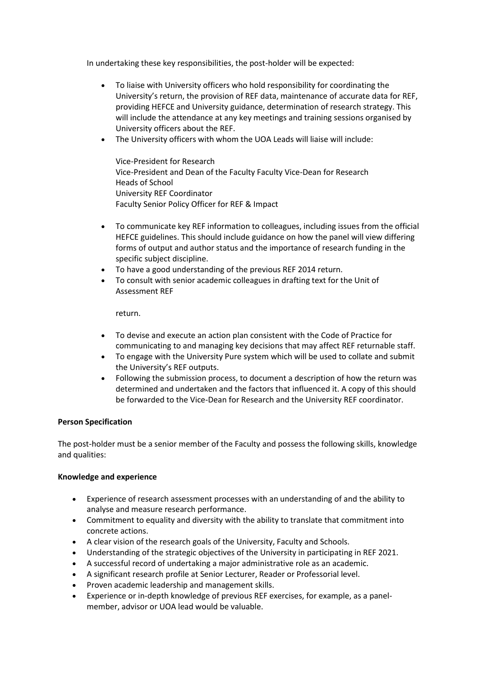In undertaking these key responsibilities, the post-holder will be expected:

- To liaise with University officers who hold responsibility for coordinating the University's return, the provision of REF data, maintenance of accurate data for REF, providing HEFCE and University guidance, determination of research strategy. This will include the attendance at any key meetings and training sessions organised by University officers about the REF.
- The University officers with whom the UOA Leads will liaise will include:

Vice-President for Research Vice-President and Dean of the Faculty Faculty Vice-Dean for Research Heads of School University REF Coordinator Faculty Senior Policy Officer for REF & Impact

- To communicate key REF information to colleagues, including issues from the official HEFCE guidelines. This should include guidance on how the panel will view differing forms of output and author status and the importance of research funding in the specific subject discipline.
- To have a good understanding of the previous REF 2014 return.
- To consult with senior academic colleagues in drafting text for the Unit of Assessment REF

return.

- To devise and execute an action plan consistent with the Code of Practice for communicating to and managing key decisions that may affect REF returnable staff.
- To engage with the University Pure system which will be used to collate and submit the University's REF outputs.
- Following the submission process, to document a description of how the return was determined and undertaken and the factors that influenced it. A copy of this should be forwarded to the Vice-Dean for Research and the University REF coordinator.

#### **Person Specification**

The post-holder must be a senior member of the Faculty and possess the following skills, knowledge and qualities:

#### **Knowledge and experience**

- Experience of research assessment processes with an understanding of and the ability to analyse and measure research performance.
- Commitment to equality and diversity with the ability to translate that commitment into concrete actions.
- A clear vision of the research goals of the University, Faculty and Schools.
- Understanding of the strategic objectives of the University in participating in REF 2021.
- A successful record of undertaking a major administrative role as an academic.
- A significant research profile at Senior Lecturer, Reader or Professorial level.
- Proven academic leadership and management skills.
- Experience or in-depth knowledge of previous REF exercises, for example, as a panelmember, advisor or UOA lead would be valuable.